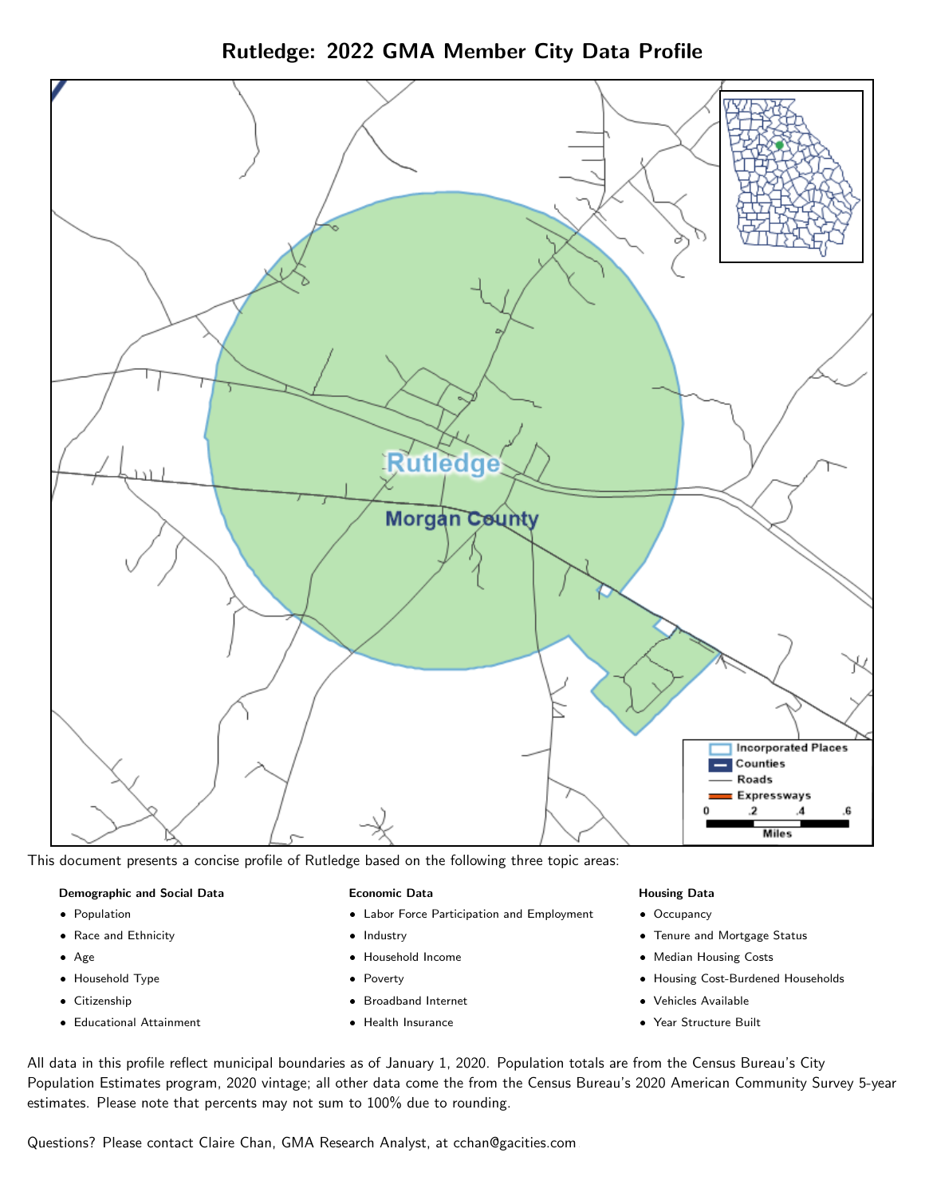Rutledge: 2022 GMA Member City Data Profile



This document presents a concise profile of Rutledge based on the following three topic areas:

## Demographic and Social Data

- **•** Population
- Race and Ethnicity
- Age
- Household Type
- **Citizenship**
- Educational Attainment

## Economic Data

- Labor Force Participation and Employment
- Industry
- Household Income
- Poverty
- Broadband Internet
- Health Insurance

#### Housing Data

- Occupancy
- Tenure and Mortgage Status
- Median Housing Costs
- Housing Cost-Burdened Households
- Vehicles Available
- $\bullet$ Year Structure Built

All data in this profile reflect municipal boundaries as of January 1, 2020. Population totals are from the Census Bureau's City Population Estimates program, 2020 vintage; all other data come the from the Census Bureau's 2020 American Community Survey 5-year estimates. Please note that percents may not sum to 100% due to rounding.

Questions? Please contact Claire Chan, GMA Research Analyst, at [cchan@gacities.com.](mailto:cchan@gacities.com)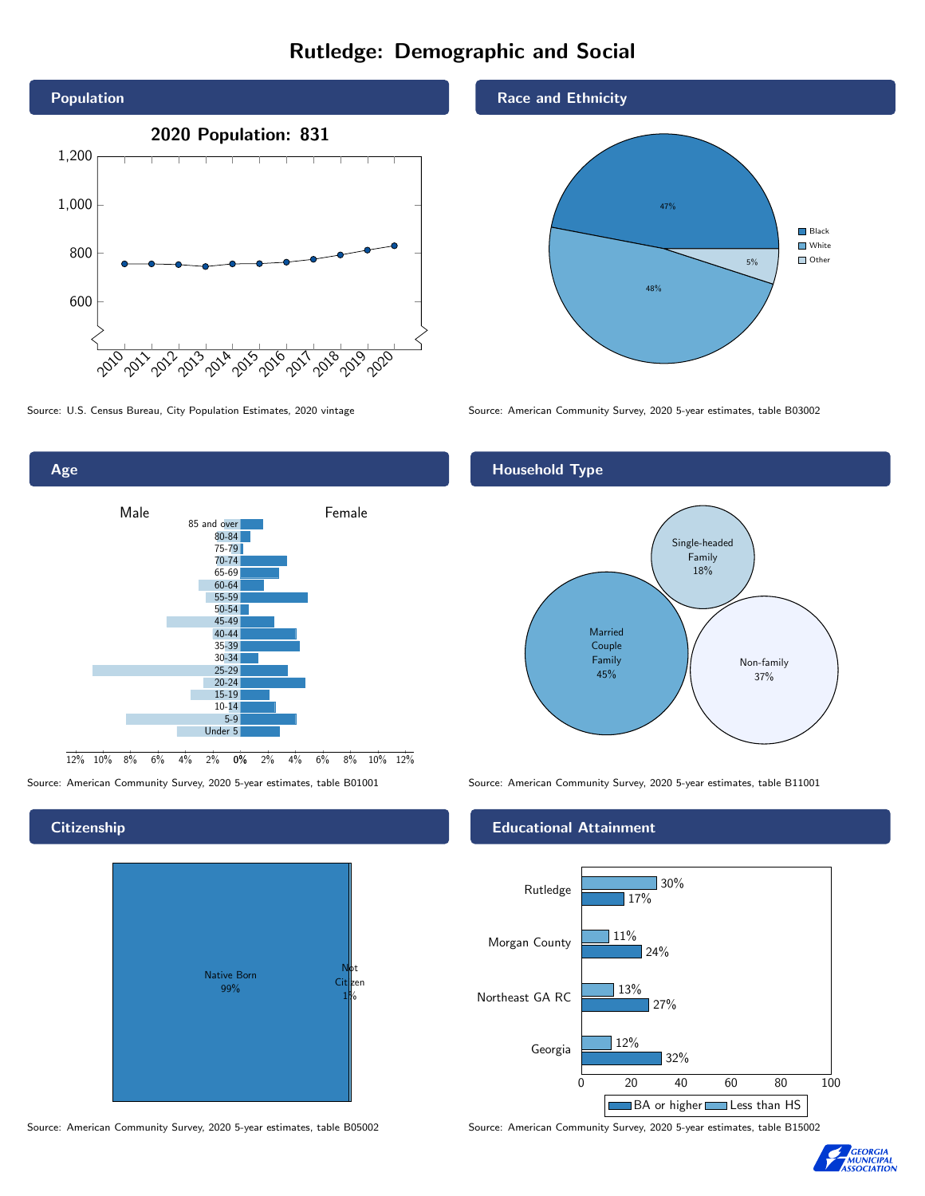# Rutledge: Demographic and Social







## **Citizenship**



Source: American Community Survey, 2020 5-year estimates, table B05002 Source: American Community Survey, 2020 5-year estimates, table B15002

## Race and Ethnicity



## Household Type



Source: American Community Survey, 2020 5-year estimates, table B01001 Source: American Community Survey, 2020 5-year estimates, table B11001

## Educational Attainment



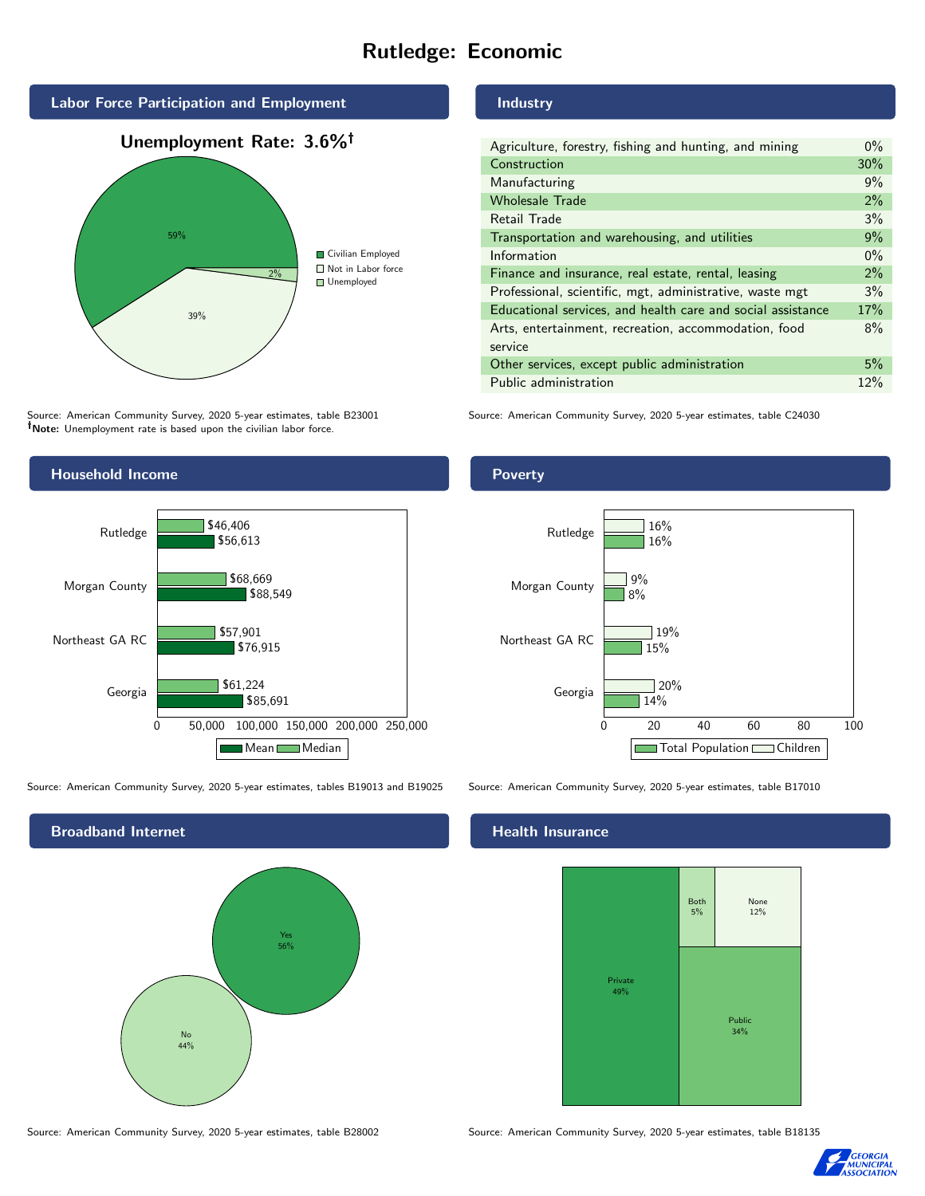# Rutledge: Economic



Source: American Community Survey, 2020 5-year estimates, table B23001 Note: Unemployment rate is based upon the civilian labor force.



Source: American Community Survey, 2020 5-year estimates, tables B19013 and B19025 Source: American Community Survey, 2020 5-year estimates, table B17010

Broadband Internet No 44% Yes 56%

Source: American Community Survey, 2020 5-year estimates, table B28002 Source: American Community Survey, 2020 5-year estimates, table B18135

# Industry

Poverty

| Agriculture, forestry, fishing and hunting, and mining      | $0\%$ |
|-------------------------------------------------------------|-------|
| Construction                                                | 30%   |
| Manufacturing                                               | 9%    |
| <b>Wholesale Trade</b>                                      | 2%    |
| Retail Trade                                                | 3%    |
| Transportation and warehousing, and utilities               | 9%    |
| Information                                                 | $0\%$ |
| Finance and insurance, real estate, rental, leasing         | 2%    |
| Professional, scientific, mgt, administrative, waste mgt    | 3%    |
| Educational services, and health care and social assistance | 17%   |
| Arts, entertainment, recreation, accommodation, food        | 8%    |
| service                                                     |       |
| Other services, except public administration                | 5%    |
| Public administration                                       | 12%   |

Source: American Community Survey, 2020 5-year estimates, table C24030

# 0 20 40 60 80 100 Georgia Northeast GA RC Morgan County Rutledge 14%  $15%$ 8% 16%  $120%$  $19%$ 9% 16% Total Population Children

#### Health Insurance